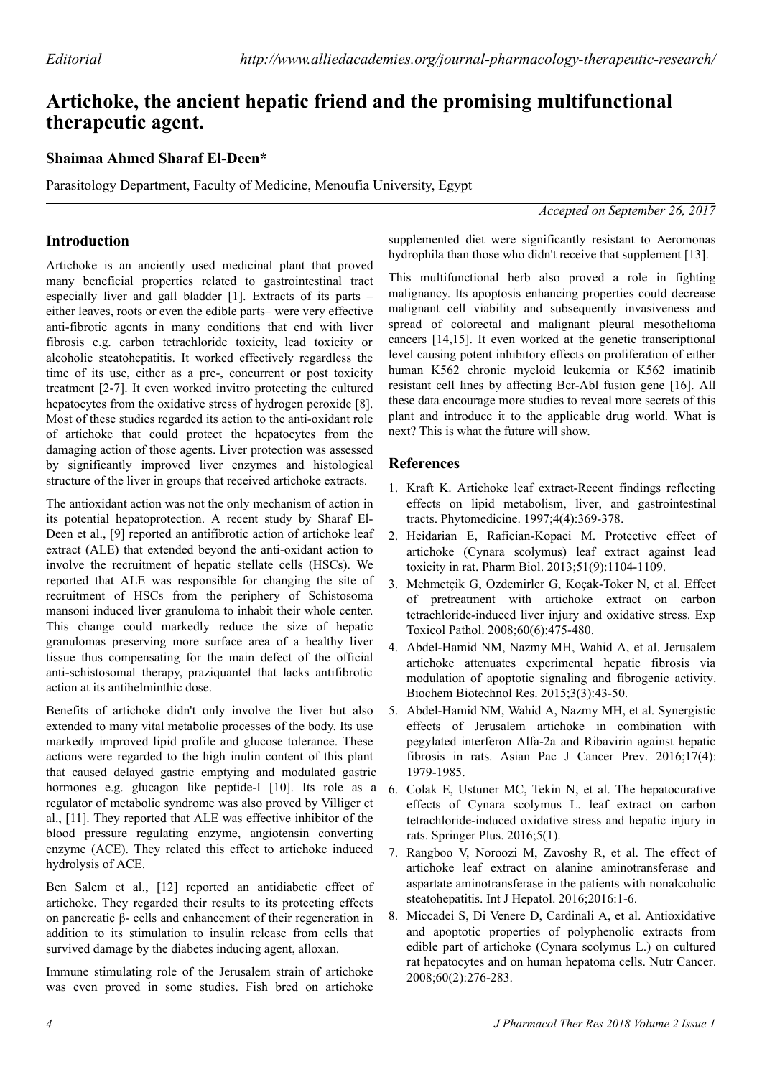# **Artichoke, the ancient hepatic friend and the promising multifunctional therapeutic agent.**

### **Shaimaa Ahmed Sharaf El-Deen\***

Parasitology Department, Faculty of Medicine, Menoufia University, Egypt

## **Introduction**

Artichoke is an anciently used medicinal plant that proved many beneficial properties related to gastrointestinal tract especially liver and gall bladder [1]. Extracts of its parts – either leaves, roots or even the edible parts– were very effective anti-fibrotic agents in many conditions that end with liver fibrosis e.g. carbon tetrachloride toxicity, lead toxicity or alcoholic steatohepatitis. It worked effectively regardless the time of its use, either as a pre-, concurrent or post toxicity treatment [2-7]. It even worked invitro protecting the cultured hepatocytes from the oxidative stress of hydrogen peroxide [8]. Most of these studies regarded its action to the anti-oxidant role of artichoke that could protect the hepatocytes from the damaging action of those agents. Liver protection was assessed by significantly improved liver enzymes and histological structure of the liver in groups that received artichoke extracts.

The antioxidant action was not the only mechanism of action in its potential hepatoprotection. A recent study by Sharaf El-Deen et al., [9] reported an antifibrotic action of artichoke leaf extract (ALE) that extended beyond the anti-oxidant action to involve the recruitment of hepatic stellate cells (HSCs). We reported that ALE was responsible for changing the site of recruitment of HSCs from the periphery of Schistosoma mansoni induced liver granuloma to inhabit their whole center. This change could markedly reduce the size of hepatic granulomas preserving more surface area of a healthy liver tissue thus compensating for the main defect of the official anti-schistosomal therapy, praziquantel that lacks antifibrotic action at its antihelminthic dose.

Benefits of artichoke didn't only involve the liver but also extended to many vital metabolic processes of the body. Its use markedly improved lipid profile and glucose tolerance. These actions were regarded to the high inulin content of this plant that caused delayed gastric emptying and modulated gastric hormones e.g. glucagon like peptide-I [10]. Its role as a regulator of metabolic syndrome was also proved by Villiger et al., [11]. They reported that ALE was effective inhibitor of the blood pressure regulating enzyme, angiotensin converting enzyme (ACE). They related this effect to artichoke induced hydrolysis of ACE.

Ben Salem et al., [12] reported an antidiabetic effect of artichoke. They regarded their results to its protecting effects on pancreatic β- cells and enhancement of their regeneration in addition to its stimulation to insulin release from cells that survived damage by the diabetes inducing agent, alloxan.

Immune stimulating role of the Jerusalem strain of artichoke was even proved in some studies. Fish bred on artichoke

*Accepted on September 26, 2017*

supplemented diet were significantly resistant to Aeromonas hydrophila than those who didn't receive that supplement [13].

This multifunctional herb also proved a role in fighting malignancy. Its apoptosis enhancing properties could decrease malignant cell viability and subsequently invasiveness and spread of colorectal and malignant pleural mesothelioma cancers [14,15]. It even worked at the genetic transcriptional level causing potent inhibitory effects on proliferation of either human K562 chronic myeloid leukemia or K562 imatinib resistant cell lines by affecting Bcr-Abl fusion gene [16]. All these data encourage more studies to reveal more secrets of this plant and introduce it to the applicable drug world. What is next? This is what the future will show.

#### **References**

- 1. [Kraft K. Artichoke leaf extract-Recent findings reflecting](https://doi.org/10.1016/s0944-7113(97)80049-9) [effects on lipid metabolism, liver, and gastrointestinal](https://doi.org/10.1016/s0944-7113(97)80049-9) [tracts. Phytomedicine. 1997;4\(4\):369-378.](https://doi.org/10.1016/s0944-7113(97)80049-9)
- 2. [Heidarian E, Rafieian-Kopaei M. Protective effect of](http://dx.doi.org/10.3109/13880209.2013.777931) [artichoke \(Cynara scolymus\) leaf extract against lead](http://dx.doi.org/10.3109/13880209.2013.777931) [toxicity in rat. Pharm Biol. 2013;51\(9\):1104-1109.](http://dx.doi.org/10.3109/13880209.2013.777931)
- 3. [Mehmetçik G, Ozdemirler G, Koçak-Toker N, et al. Effect](http://dx.doi.org/10.1016/j.etp.2008.04.014) [of pretreatment with artichoke extract on carbon](http://dx.doi.org/10.1016/j.etp.2008.04.014) [tetrachloride-induced liver injury and oxidative stress. Exp](http://dx.doi.org/10.1016/j.etp.2008.04.014) [Toxicol Pathol. 2008;60\(6\):475-480.](http://dx.doi.org/10.1016/j.etp.2008.04.014)
- 4. Abdel-Hamid NM, Nazmy MH, Wahid A, et al. Jerusalem artichoke attenuates experimental hepatic fibrosis via modulation of apoptotic signaling and fibrogenic activity. Biochem Biotechnol Res. 2015;3(3):43-50.
- 5. [Abdel-Hamid NM, Wahid A, Nazmy MH, et al. Synergistic](https://doi.org/10.7314/apjcp.2016.17.4.1979) [effects of Jerusalem artichoke in combination with](https://doi.org/10.7314/apjcp.2016.17.4.1979) [pegylated interferon Alfa-2a and Ribavirin against hepatic](https://doi.org/10.7314/apjcp.2016.17.4.1979) [fibrosis in rats. Asian Pac J Cancer Prev. 2016;17\(4\):](https://doi.org/10.7314/apjcp.2016.17.4.1979) [1979-1985.](https://doi.org/10.7314/apjcp.2016.17.4.1979)
- 6. [Colak E, Ustuner MC, Tekin N, et al. The hepatocurative](http://dx.doi.org/10.1186/s40064-016-1894-1) [effects of Cynara scolymus L. leaf extract on carbon](http://dx.doi.org/10.1186/s40064-016-1894-1) [tetrachloride-induced oxidative stress and hepatic injury in](http://dx.doi.org/10.1186/s40064-016-1894-1) [rats. Springer Plus. 2016;5\(1\).](http://dx.doi.org/10.1186/s40064-016-1894-1)
- 7. [Rangboo V, Noroozi M, Zavoshy R, et al. The effect of](https://doi.org/10.1155/2016/4030476) [artichoke leaf extract on alanine aminotransferase and](https://doi.org/10.1155/2016/4030476) [aspartate aminotransferase in the patients with nonalcoholic](https://doi.org/10.1155/2016/4030476) [steatohepatitis. Int J Hepatol. 2016;2016:1-6.](https://doi.org/10.1155/2016/4030476)
- 8. [Miccadei S, Di Venere D, Cardinali A, et al. Antioxidative](https://doi.org/10.1080/01635580801891583) [and apoptotic properties of polyphenolic extracts from](https://doi.org/10.1080/01635580801891583) [edible part of artichoke \(Cynara scolymus L.\) on cultured](https://doi.org/10.1080/01635580801891583) [rat hepatocytes and on human hepatoma cells. Nutr Cancer.](https://doi.org/10.1080/01635580801891583) [2008;60\(2\):276-283.](https://doi.org/10.1080/01635580801891583)